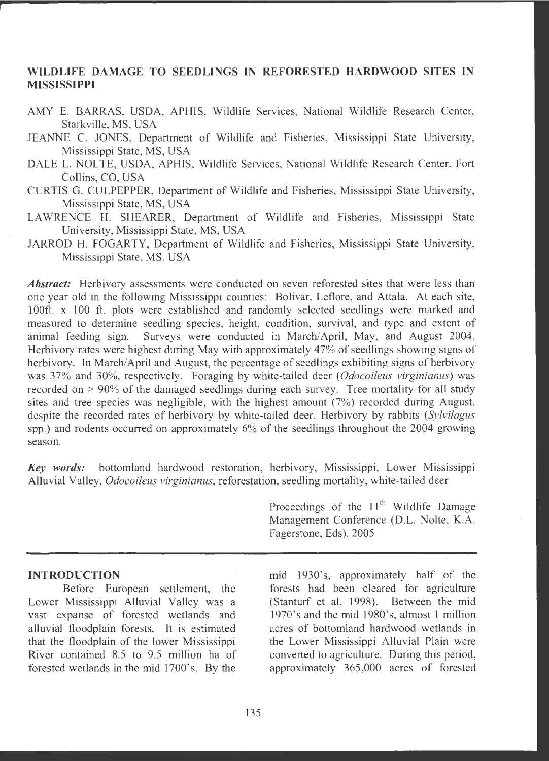## **WILDLIFE DAMAGE TO SEEDLINGS IN REFORESTED HARDWOOD SITES IN MISSISSIPPI**

- AMY E. BARRAS, USDA, APHIS, Wildlife Services, National Wildlife Research Center, Starkville, MS, USA
- JEANNE C. JONES, Department of Wildlife and Fisheries, Mississippi State University, Mississippi State, MS, USA
- DALE L. NOLTE, USDA, APHIS, Wildlife Services, National Wildlife Research Center, Fort Collins, CO, USA
- CURTIS G. CULPEPPER , Department of Wildlife and Fisheries , Mississippi State University , Mississippi State, MS, USA
- LAWRENCE H. SHEARER, Department of Wildlife and Fisheries, Mississippi State University, Mississippi State, MS, USA
- JARROD H. FOGARTY, Department of Wildlife and Fisheries, Mississippi State University, Mississippi State, MS, USA

Abstract: Herbivory assessments were conducted on seven reforested sites that were less than one year old in the following Mississippi counties: Bolivar, Leflore, and Attala. At each site, 100ft. x 100 ft. plots were established and randomly selected seedlings were marked and measured to determine seedling species, height, condition, survival, and type and extent of animal feeding sign. Surveys were conducted in March/April, May, and August 2004. Herbivory rates were highest during May with approximately 47% of seedlings showing signs of herbivory. In March/April and August, the percentage of seedlings exhibiting signs of herbivory was 37% and 30%, respectively. Foraging by white-tailed deer *(Odocoileus virginianus)* was recorded on > 90% of the damaged seedlings during each survey. Tree mortality for all study sites and tree species was negligible, with the highest amount  $(7%)$  recorded during August, despite the recorded rates of herbivory by white-tailed deer. Herbivory by rabbits *(Sylvilagus*  spp.) and rodents occurred on approximately 6% of the seedlings throughout the 2004 growing season.

*Key words:* bottomland hardwood restoration, herbivory , Mississippi, Lower Mississippi Alluvial Valley, *Odocoileus virginianus*, reforestation, seedling mortality, white-tailed deer

#### **INTRODUCTION**

Before European settlement, the Lower Mississippi Alluvial Valley was a vast expanse of forested wetlands and alluvial floodplain forests. It is estimated that the floodplain of the lower Mississippi River contained 8.5 to 9.5 million ha of forested wetlands in the mid 1700's. By the

Proceedings of the  $11<sup>th</sup>$  Wildlife Damage Management Conference (D.L. Nolte, K.A. Fagerstone, Eds). 2005

mid 1930's, approximately half of the forests had been cleared for agriculture (Stanturf et al. 1998). Between the mid 1970's and the mid 1980's, almost 1 million acres of bottomland hardwood wetlands in the Lower Mississippi Alluvial Plain were converted to agriculture. During this period, approximately 365,000 acres of forested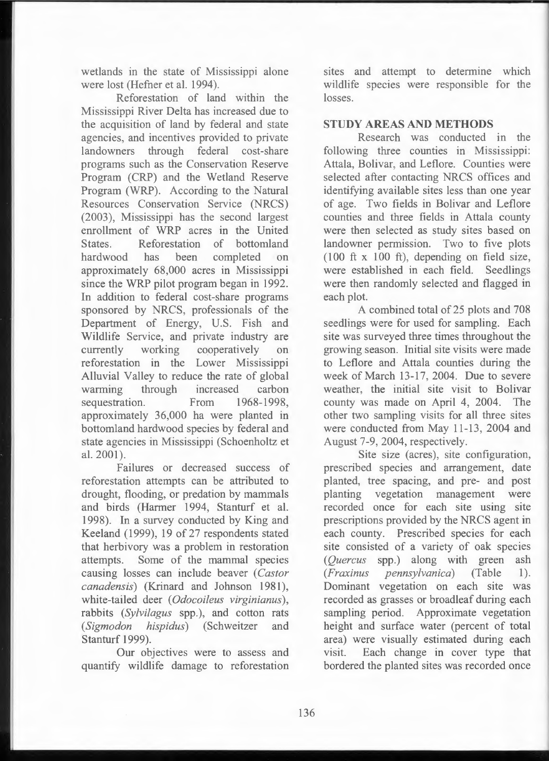wetlands in the state of Mississippi alone were lost (Hefner et al. 1994).

Reforestation of land within the Mississippi River Delta has increased due to the acquisition of land by federal and state agencies, and incentives provided to private landowners through federal cost-share programs such as the Conservation Reserve Program (CRP) and the Wetland Reserve Program (WRP). According to the Natural Resources Conservation Service (NRCS) (2003), Mississippi has the second largest enrollment of WRP acres in the United States. Reforestation of bottomland hardwood has been completed on approximately 68,000 acres in Mississippi since the WRP pilot program began in 1992. In addition to federal cost-share programs sponsored by NRCS, professionals of the Department of Energy, U.S. Fish and Wildlife Service, and private industry are currently working cooperatively on reforestation in the Lower Mississippi Alluvial Valley to reduce the rate of global warming through increased carbon sequestration. From 1968-1998, approximately 36,000 ha were planted in bottomland hardwood species by federal and state agencies in Mississippi (Schoenholtz et al. 2001).

Failures or decreased success of reforestation attempts can be attributed to drought, flooding, or predation by mammals and birds (Harmer 1994, Stanturf et al. 1998). In a survey conducted by King and Keeland (1999), 19 of 27 respondents stated that herbivory was a problem in restoration attempts. Some of the mammal species causing losses can include beaver ( *Castor canadensis*) (Krinard and Johnson 1981), white-tailed deer ( *Odocoileus virginianus* ), rabbits *(Sylvilagus* spp.), and cotton rats *(Sigmodon hispidus)* (Schweitzer and Stanturf 1999).

Our objectives were to assess and quantify wildlife damage to reforestation sites and attempt to determine which wildlife species were responsible for the losses.

## **STUDY AREAS AND METHODS**

Research was conducted in the following three counties in Mississippi: Attala, Bolivar, and Leflore. Counties were selected after contacting NRCS offices and identifying available sites less than one year of age. Two fields in Bolivar and Leflore counties and three fields in Attala county were then selected as study sites based on landowner permission. Two to five plots  $(100 \text{ ft} \times 100 \text{ ft})$ , depending on field size, were established in each field. Seedlings were then randomly selected and flagged in each plot.

A combined total of 25 plots and 708 seedlings were for used for sampling. Each site was surveyed three times throughout the growing season. Initial site visits were made to Leflore and Attala counties during the week of March 13-17, 2004. Due to severe weather, the initial site visit to Bolivar county was made on April 4, 2004. The other two sampling visits for all three sites were conducted from May 11-13, 2004 and August 7-9, 2004, respectively.

Site size (acres), site configuration, prescribed species and arrangement, date planted, tree spacing, and pre- and post planting vegetation management were recorded once for each site using site prescriptions provided by the NRCS agent in each county. Prescribed species for each site consisted of a variety of oak species *(Quercus* spp.) along with green ash *(Fraxinus pennsylvanica)* (Table 1). Dominant vegetation on each site was recorded as grasses or broadleaf during each sampling period. Approximate vegetation height and surface water (percent of total area) were visually estimated during each visit. Each change in cover type that bordered the planted sites was recorded once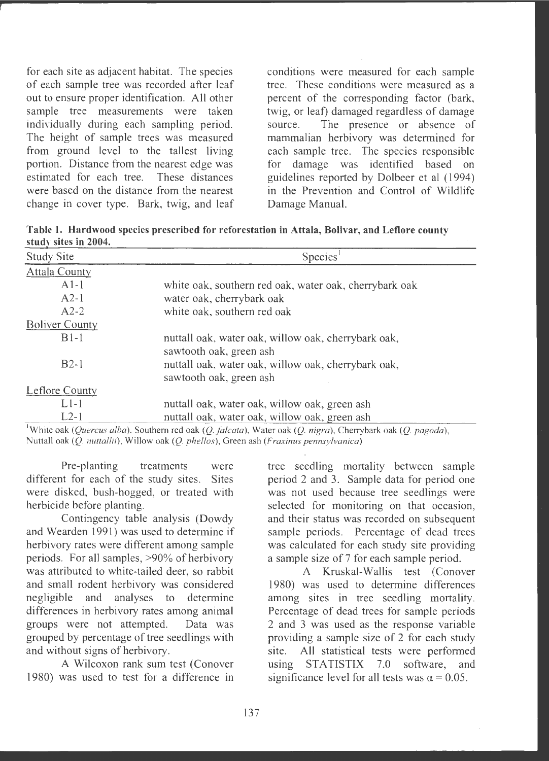for each site as adjacent habitat. The species of each sample tree was recorded after leaf out to ensure proper identification . All other sample tree measurements were taken individually during each sampling period. The height of sample trees was measured from ground level to the tallest living portion. Distance from the nearest edge was estimated for each tree. These distances were based on the distance from the nearest change in cover type. Bark, twig, and leaf conditions were measured for each sample tree. These conditions were measured as a percent of the corresponding factor (bark, twig, or leaf) damaged regardless of damage source. The presence or absence of mammalian herbivory was determined for each sample tree. The species responsible for damage was identified based on guidelines reported by Dolbeer et al (1994) in the Prevention and Control of Wildlife Damage Manual.

**Table 1. Hardwood species prescribed for reforestation in Attala, Bolivar, and Leflore county study sites in 2004.** 

| Species <sup>1</sup><br><b>Study Site</b> |                                                                                                           |  |  |
|-------------------------------------------|-----------------------------------------------------------------------------------------------------------|--|--|
| <b>Attala County</b>                      |                                                                                                           |  |  |
| $A1-1$                                    | white oak, southern red oak, water oak, cherrybark oak                                                    |  |  |
| $A2-1$                                    | water oak, cherrybark oak                                                                                 |  |  |
| $A2-2$                                    | white oak, southern red oak                                                                               |  |  |
| <b>Boliver County</b>                     |                                                                                                           |  |  |
| $B1-1$                                    | nuttall oak, water oak, willow oak, cherrybark oak,                                                       |  |  |
| $B2-1$                                    | sawtooth oak, green ash<br>nuttall oak, water oak, willow oak, cherrybark oak,<br>sawtooth oak, green ash |  |  |
| <b>Leflore County</b>                     |                                                                                                           |  |  |
| $L1-1$                                    | nuttall oak, water oak, willow oak, green ash                                                             |  |  |
| $L2-1$                                    | nuttall oak, water oak, willow oak, green ash                                                             |  |  |
| The contract of                           |                                                                                                           |  |  |

1 White oak *(Quercus alba),* Southern red oak *(Q.falcata),* Water oak (Q. *nigra),* Cherrybark oak (Q. *pagoda),*  Nuttall oak (Q. *nuttal/ii),* Willow oak *(Q. phellos),* Green ash *(Fraxinus pennsylvanica)* 

Pre-planting treatments were different for each of the study sites. Sites were disked, bush-hogged, or treated with herbicide before planting.

Contingency table analysis (Dowdy and Wearden 1991) was used to determine if herbivory rates were different among sample periods. For all samples, >90% of herbivory was attributed to white-tailed deer, so rabbit and small rodent herbivory was considered negligible and analyses to determine differences in herbivory rates among animal groups were not attempted. Data was grouped by percentage of tree seedlings with and without signs of herbivory.

A Wilcoxon rank sum test (Conover 1980) was used to test for a difference in tree seedling mortality between sample period 2 and 3. Sample data for period one was not used because tree seedlings were selected for monitoring on that occasion, and their status was recorded on subsequent sample periods. Percentage of dead trees was calculated for each study site providing a sample size of 7 for each sample period.

A Kruskal-Wallis test (Conover 1980) was used to determine differences among sites in tree seedling mortality. Percentage of dead trees for sample periods 2 and 3 was used as the response variable providing a sample size of 2 for each study site. All statistical tests were performed using STATISTIX 7.0 software, and significance level for all tests was  $\alpha = 0.05$ .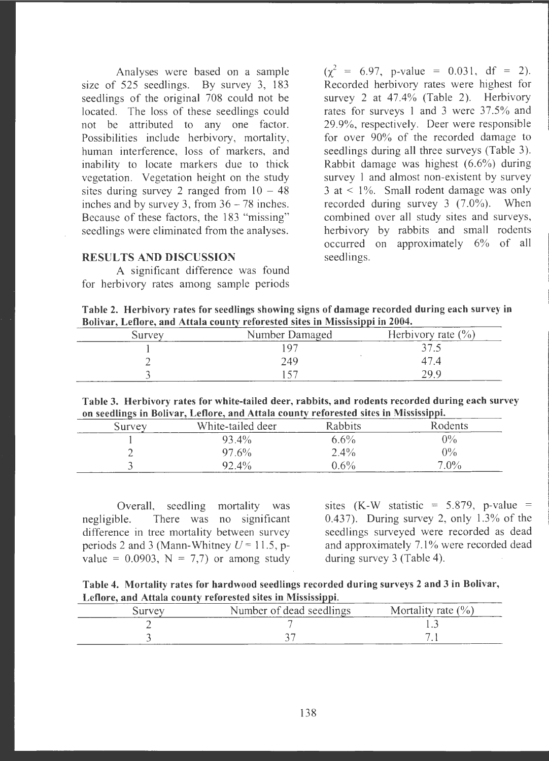Analyses were based on a sample size of 525 seedlings. By survey 3, 183 seedlings of the original 708 could not be located. The loss of these seedlings could not be attributed to any one factor. Possibilities include herbivory, mortality, human interference, loss of markers, and inability to locate markers due to thick vegetation. Vegetation height on the study sites during survey 2 ranged from  $10 - 48$ inches and by survey 3, from  $36 - 78$  inches. Because of these factors, the 183 "missing" seedlings were eliminated from the analyses.

### **RESULTS AND DISCUSSION**

A significant difference was found for herbivory rates among sample periods

 $(\gamma^2 = 6.97, \text{ p-value } = 0.031, \text{ df } = 2).$ Recorded herbivory rates were highest for survey 2 at  $47.4\%$  (Table 2). Herbivory rates for surveys I and 3 were 37.5% and 29.9% , respectively. Deer were responsible for over 90% of the recorded damage to seedlings during all three surveys (Table 3). Rabbit damage was highest (6.6%) during survey 1 and almost non-existent by survey  $3$  at  $\leq 1\%$ . Small rodent damage was only recorded during survey 3  $(7.0\%)$ . When combined over all study sites and surveys, herbivory by rabbits and small rodents occurred on approximately 6% of all seedlings.

**Table 2. Herbivory rates for seedlings showing signs of damage recorded during each survey in Bolivar, Leflore, and Attala county reforested sites in Mississippi in 2004.** 

| Survey | Number Damaged | Herbivory rate $(\% )$ |
|--------|----------------|------------------------|
|        |                |                        |
|        | 249            |                        |
|        |                |                        |

**Table 3. Herbivory rates for white-tailed deer, rabbits, and rodents recorded during each survey on seedlings in Bolivar, Leflore, and Attala county reforested sites in Mississippi.** 

| Survey | White-tailed deer | <b>Rabbits</b> | Rodents |
|--------|-------------------|----------------|---------|
|        | 93.4%             | $6.6\%$        | $0\%$   |
|        | $97.6\%$          | $2.4\%$        | $0\%$   |
|        | 92.4%             | $0.6\%$        | $7.0\%$ |

Overall, seedling mortality was negligible. There was no significant difference in tree mortality between survey periods 2 and 3 (Mann-Whitney  $U = 11.5$ , pvalue =  $0.0903$ , N = 7,7) or among study sites  $(K-W \text{ statistic} = 5.879, \text{ p-value} =$ 0.437). During survey 2, only 1.3% of the seedlings surveyed were recorded as dead and approximately 7.1% were recorded dead during survey 3 (Table 4).

|  | Table 4. Mortality rates for hardwood seedlings recorded during surveys 2 and 3 in Bolivar, |  |  |  |
|--|---------------------------------------------------------------------------------------------|--|--|--|
|  | Leflore, and Attala county reforested sites in Mississippi.                                 |  |  |  |

| Survev | Number of dead seedlings | Mortality rate $(\% )$ |
|--------|--------------------------|------------------------|
|        |                          |                        |
|        |                          |                        |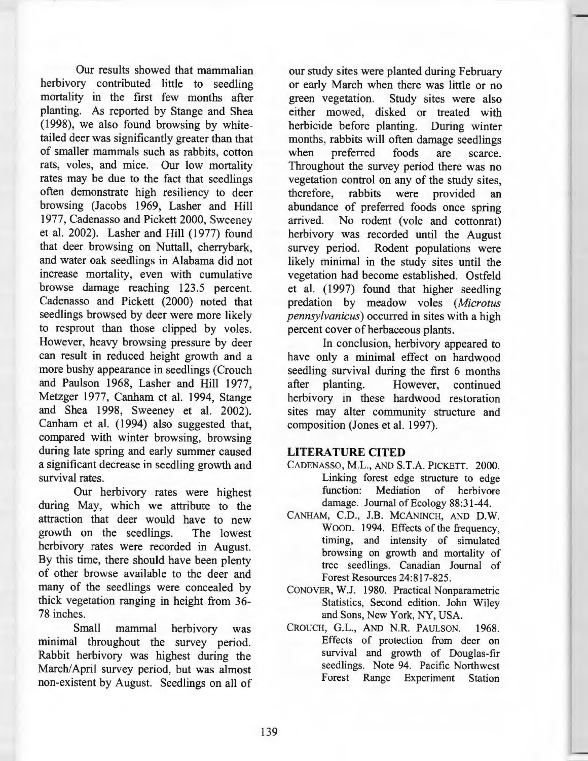Our results showed that mammalian herbivory contributed little to seedling mortality in the first few months after <sup>p</sup>lanting. As reported by Stange and Shea ( 1998), we also found browsing by whitetailed deer was significantly greater than that of smaller mammals such as rabbits, cotton rats, voles, and mice. Our low mortality rates may be due to the fact that seedlings often demonstrate high resiliency to deer browsing (Jacobs 1969, Lasher and Hill 1977, Cadenasso and Pickett 2000, Sweeney et al. 2002). Lasher and Hill (1977) found that deer browsing on Nuttall, cherrybark, and water oak seedlings in Alabama did not increase mortality, even with cumulative browse damage reaching 123.5 percent. Cadenasso and Pickett (2000) noted that seedlings browsed by deer were more likely to resprout than those clipped by voles. However, heavy browsing pressure by deer can result in reduced height growth and a more bushy appearance in seedlings (Crouch and Paulson 1968, Lasher and **Hill** 1977, Metzger 1977, Canham et al. 1994, Stange and Shea 1998, Sweeney et al. 2002). Canham et al. (1994) also suggested that, compared with winter browsing, browsing during late spring and early summer caused a significant decrease in seedling growth and survival rates.

Our herbivory rates were highest during May, which we attribute to the attraction that deer would have to new growth on the seedlings. The lowest herbivory rates were recorded in August. By this time, there should have been plenty of other browse available to the deer and many of the seedlings were concealed by thick vegetation ranging in height from 36- 78 inches.

Small mammal herbivory was minimal throughout the survey period. Rabbit herbivory was highest during the March/April survey period, but was almost non-existent by August. Seedlings on all of

our study sites were planted during February or early March when there was little or no green vegetation. Study sites were also either mowed, disked or treated with herbicide before planting. During winter months, rabbits will often damage seedlings when preferred foods are scarce. Throughout the survey period there was no vegetation control on any of the study sites, therefore, rabbits were provided an abundance of preferred foods once spring arrived. No rodent (vole and cottonrat) herbivory was recorded until the August survey period. Rodent populations were likely minimal in the study sites until the vegetation had become established. Ostfeld et al. ( 1997) found that higher seedling predation by meadow voles *(Microtus pennsylvanicus)* occurred in sites with a high percent cover of herbaceous plants.

In conclusion, herbivory appeared to have only a minimal effect on hardwood seedling survival during the first 6 months after planting. However, continued herbivory in these hardwood restoration sites may alter community structure and composition (Jones et al. 1997).

# **LITERATURE CITED**

- CADENASSO, M.L., AND S.T.A. PICKETT. 2000. Linking forest edge structure to edge function: Mediation of herbivore damage. Journal of Ecology 88:31-44.
- CANHAM, C.D., J.B. MCANINCH, AND **D.W.**  WOOD. 1994. Effects of the frequency, timing, and intensity of simulated browsing on growth and mortality of tree seedlings. Canadian Journal of Forest Resources 24:817-825.
- CONOVER, W.J. 1980. Practical Nonparametric Statistics, Second edition. John Wiley and Sons, New York, NY, USA.
- CROUCH, G.L., AND **N.R.** PAULSON. 1968. Effects of protection from deer on survival and growth of Douglas-fir seedlings. Note 94. Pacific Northwest Forest Range Experiment Station